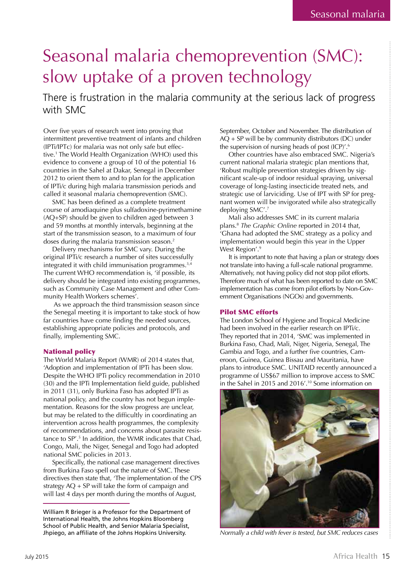### Seasonal malaria chemoprevention (SMC): slow uptake of a proven technology

There is frustration in the malaria community at the serious lack of progress with SMC

Over five years of research went into proving that intermittent preventive treatment of infants and children (IPTi/IPTc) for malaria was not only safe but effective.1 The World Health Organization (WHO) used this evidence to convene a group of 10 of the potential 16 countries in the Sahel at Dakar, Senegal in December 2012 to orient them to and to plan for the application of IPTi/c during high malaria transmission periods and called it seasonal malaria chemoprevention (SMC).

SMC has been defined as a complete treatment course of amodiaquine plus sulfadoxine-pyrimethamine (AQ+SP) should be given to children aged between 3 and 59 months at monthly intervals, beginning at the start of the transmission season, to a maximum of four doses during the malaria transmission season. $2$ 

Delivery mechanisms for SMC vary. During the original IPTi/c research a number of sites successfully integrated it with child immunisation programmes.<sup>3,4</sup> The current WHO recommendation is, 'if possible, its delivery should be integrated into existing programmes, such as Community Case Management and other Community Health Workers schemes'.

 As we approach the third transmission season since the Senegal meeting it is important to take stock of how far countries have come finding the needed sources, establishing appropriate policies and protocols, and finally, implementing SMC.

#### National policy

The World Malaria Report (WMR) of 2014 states that, 'Adoption and implementation of IPTi has been slow. Despite the WHO IPTi policy recommendation in 2010 (30) and the IPTi Implementation field guide, published in 2011 (31), only Burkina Faso has adopted IPTi as national policy, and the country has not begun implementation. Reasons for the slow progress are unclear, but may be related to the difficultly in coordinating an intervention across health programmes, the complexity of recommendations, and concerns about parasite resistance to SP'.5 In addition, the WMR indicates that Chad, Congo, Mali, the Niger, Senegal and Togo had adopted national SMC policies in 2013.

Specifically, the national case management directives from Burkina Faso spell out the nature of SMC. These directives then state that, 'The implementation of the CPS strategy  $AQ + SP$  will take the form of campaign and will last 4 days per month during the months of August,

September, October and November. The distribution of AQ + SP will be by community distributors (DC) under the supervision of nursing heads of post (ICP)'.<sup>6</sup>

Other countries have also embraced SMC. Nigeria's current national malaria strategic plan mentions that, 'Robust multiple prevention strategies driven by significant scale-up of indoor residual spraying, universal coverage of long-lasting insecticide treated nets, and strategic use of larviciding. Use of IPT with SP for pregnant women will be invigorated while also strategically deploying SMC'.7

Mali also addresses SMC in its current malaria plans.8 *The Graphic Online* reported in 2014 that, 'Ghana had adopted the SMC strategy as a policy and implementation would begin this year in the Upper West Region'.<sup>9</sup>

It is important to note that having a plan or strategy does not translate into having a full-scale national programme. Alternatively, not having policy did not stop pilot efforts. Therefore much of what has been reported to date on SMC implementation has come from pilot efforts by Non-Government Organisations (NGOs) and governments.

#### Pilot SMC efforts

The London School of Hygiene and Tropical Medicine had been involved in the earlier research on IPTi/c. They reported that in 2014, 'SMC was implemented in Burkina Faso, Chad, Mali, Niger, Nigeria, Senegal, The Gambia and Togo, and a further five countries, Cameroon, Guinea, Guinea Bissau and Mauritania, have plans to introduce SMC. UNITAID recently announced a programme of US\$67 million to improve access to SMC in the Sahel in 2015 and 2016'.10 Some information on



*Normally a child with fever is tested, but SMC reduces cases*

William R Brieger is a Professor for the Department of International Health, the Johns Hopkins Bloomberg School of Public Health, and Senior Malaria Specialist, Jhpiego, an affiliate of the Johns Hopkins University.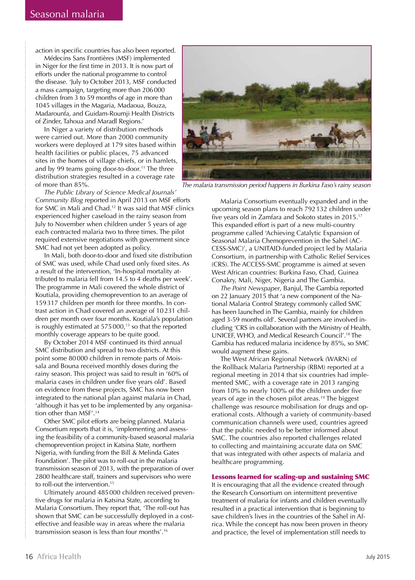action in specific countries has also been reported.

Médecins Sans Frontières (MSF) implemented in Niger for the first time in 2013. It is now part of efforts under the national programme to control the disease. 'July to October 2013, MSF conducted a mass campaign, targeting more than 206 000 children from 3 to 59 months of age in more than 1045 villages in the Magaria, Madaoua, Bouza, Madarounfa, and Guidam-Roumji Health Districts of Zinder, Tahoua and Maradl Regions.'

In Niger a variety of distribution methods were carried out. More than 2000 community workers were deployed at 179 sites based within health facilities or public places, 75 advanced sites in the homes of village chiefs, or in hamlets, and by 99 teams going door-to-door.<sup>11</sup> The three distribution strategies resulted in a coverage rate of more than 85%.



*The malaria transmission period happens in Burkina Faso's rainy season*

*The Public Library of Science Medical Journals' Community Blog* reported in April 2013 on MSF efforts for SMC in Mali and Chad.12 It was said that MSF clinics experienced higher caseload in the rainy season from July to November when children under 5 years of age each contracted malaria two to three times. The pilot required extensive negotiations with government since SMC had not yet been adopted as policy.

In Mali, both door-to-door and fixed site distribution of SMC was used, while Chad used only fixed sites. As a result of the intervention, 'In-hospital mortality attributed to malaria fell from 14.5 to 4 deaths per week'. The programme in Mali covered the whole district of Koutiala, providing chemoprevention to an average of 159 317 children per month for three months. In contrast action in Chad covered an average of 10 231 children per month over four months. Koutiala's population is roughly estimated at  $575\,000$ ,<sup>13</sup> so that the reported monthly coverage appears to be quite good.

By October 2014 MSF continued its third annual SMC distribution and spread to two districts. At this point some 80 000 children in remote parts of Moissala and Bouna received monthly doses during the rainy season. This project was said to result in '60% of malaria cases in children under five years old'. Based on evidence from these projects, SMC has now been integrated to the national plan against malaria in Chad, 'although it has yet to be implemented by any organisation other than MSF'.14

Other SMC pilot efforts are being planned. Malaria Consortium reports that it is, 'implementing and assessing the feasibility of a community-based seasonal malaria chemoprevention project in Katsina State, northern Nigeria, with funding from the Bill & Melinda Gates Foundation'. The pilot was to roll-out in the malaria transmission season of 2013, with the preparation of over 2800 healthcare staff, trainers and supervisors who were to roll-out the intervention.<sup>15</sup>

Ultimately around 485 000 children received preventive drugs for malaria in Katsina State, according to Malaria Consortium. They report that, 'The roll-out has shown that SMC can be successfully deployed in a costeffective and feasible way in areas where the malaria transmission season is less than four months'.16

Malaria Consortium eventually expanded and in the upcoming season plans to reach 792 132 children under five years old in Zamfara and Sokoto states in 2015.<sup>17</sup> This expanded effort is part of a new multi-country programme called 'Achieving Catalytic Expansion of Seasonal Malaria Chemoprevention in the Sahel (AC-CESS-SMC)', a UNITAID-funded project led by Malaria Consortium, in partnership with Catholic Relief Services (CRS). The ACCESS-SMC programme is aimed at seven West African countries: Burkina Faso, Chad, Guinea Conakry, Mali, Niger, Nigeria and The Gambia.

*The Point Newspaper*, Banjul, The Gambia reported on 22 January 2015 that 'a new component of the National Malaria Control Strategy commonly called SMC has been launched in The Gambia, mainly for children aged 3-59 months old'. Several partners are involved including 'CRS in collaboration with the Ministry of Health, UNICEF, WHO, and Medical Research Council'.18 The Gambia has reduced malaria incidence by 85%, so SMC would augment these gains.

The West African Regional Network (WARN) of the Rollback Malaria Partnership (RBM) reported at a regional meeting in 2014 that six countries had implemented SMC, with a coverage rate in 2013 ranging from 10% to nearly 100% of the children under five years of age in the chosen pilot areas.<sup>19</sup> The biggest challenge was resource mobilisation for drugs and operational costs. Although a variety of community-based communication channels were used, countries agreed that the public needed to be better informed about SMC. The countries also reported challenges related to collecting and maintaining accurate data on SMC that was integrated with other aspects of malaria and healthcare programming.

#### Lessons learned for scaling-up and sustaining SMC

It is encouraging that all the evidence created through the Research Consortium on intermittent preventive treatment of malaria for infants and children eventually resulted in a practical intervention that is beginning to save children's lives in the countries of the Sahel in Africa. While the concept has now been proven in theory and practice, the level of implementation still needs to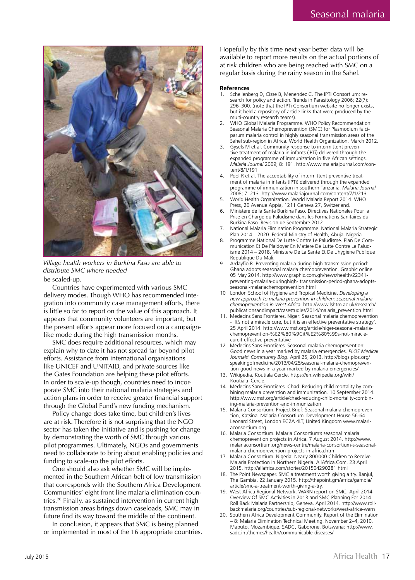

*Village health workers in Burkina Faso are able to distribute SMC where needed*

be scaled-up.

Countries have experimented with various SMC delivery modes. Though WHO has recommended integration into community case management efforts, there is little so far to report on the value of this approach. It appears that community volunteers are important, but the present efforts appear more focused on a campaignlike mode during the high transmission months.

SMC does require additional resources, which may explain why to date it has not spread far beyond pilot efforts. Assistance from international organisations like UNICEF and UNITAID, and private sources like the Gates Foundation are helping these pilot efforts. In order to scale-up though, countries need to incorporate SMC into their national malaria strategies and action plans in order to receive greater financial support through the Global Fund's new funding mechanism.

Policy change does take time, but children's lives are at risk. Therefore it is not surprising that the NGO sector has taken the initiative and is pushing for change by demonstrating the worth of SMC through various pilot programmes. Ultimately, NGOs and governments need to collaborate to bring about enabling policies and funding to scale-up the pilot efforts.

One should also ask whether SMC will be implemented in the Southern African belt of low transmission that corresponds with the Southern Africa Development Communities' eight front line malaria elimination countries.20 Finally, as sustained intervention in current high transmission areas brings down caseloads, SMC may in future find its way toward the middle of the continent.

In conclusion, it appears that SMC is being planned or implemented in most of the 16 appropriate countries. Hopefully by this time next year better data will be available to report more results on the actual portions of at risk children who are being reached with SMC on a regular basis during the rainy season in the Sahel.

#### **References**

- Schellenberg D, Cisse B, Menendez C. The IPTi Consortium: research for policy and action. Trends in Parasitology 2006; 22(7): 296–300. (note that the IPTi Consortium website no longer exists, but it held a repository of article links that were produced by the multi-country research teams).
- 2. WHO Global Malaria Programme. WHO Policy Recommendation: Seasonal Malaria Chemoprevention (SMC) for Plasmodium falciparum malaria control in highly seasonal transmission areas of the Sahel sub-region in Africa. World Health Organization. March 2012.
- Gysels M et al. Community response to intermittent preventive treatment of malaria in infants (IPTi) delivered through the expanded programme of immunization in five African settings. *Malaria Journal* 2009; 8: 191. http://www.malariajournal.com/content/8/1/191
- Pool R et al. The acceptability of intermittent preventive treatment of malaria in infants (IPTi) delivered through the expanded programme of immunization in southern Tanzania. *Malaria Journal*  2008; 7: 213. http://www.malariajournal.com/content/7/1/213
- 5. World Health Organization. World Malaria Report 2014. WHO Press, 20 Avenue Appia, 1211 Geneva 27, Switzerland.
- 6. Ministere de la Sante Burkina Faso. Directives Nationales Pour la Prise en Charge du Paludisme dans les Formations Sanitaires du Burkina Faso. Revision de Septembre 2012.
- 7. National Malaria Elimination Programme. National Malaria Strategic Plan 2014 – 2020. Federal Ministry of Health, Abuja, Nigeria.
- 8. Programme National De Lutte Contre Le Paludisme. Plan De Communication Et De Plaidoyer En Matiere De Lutte Contre Le Paludisme 2014 – 2018. Ministere De La Sante Et De L'hygiene Publique Republique Du Mali.
- 9. Ardayfio R. Preventing malaria during high-transmission period: Ghana adopts seasonal malaria chemoprevention. Graphic online. 05 May 2014. http://www.graphic.com.gh/news/health/22341 preventing-malaria-duringhigh- transmission-period-ghana-adoptsseasonal-malariachemoprevention.html
- 10 London School of Hygiene and Tropical Medicine. *Developing a new approach to malaria prevention in children: seasonal malaria chemoprevention in West Africa.* http://www.lshtm.ac.uk/research/ publicationsandimpact/casestudies/2014/malaria\_prevention.html
- 11. Medecins Sans Frontieres. Niger: Seasonal malaria chemoprevention 'It's not a miracle cure, but it is an effective preventative strategy' 25 April 2014. http://www.msf.org/article/niger-seasonal-malariachemoprevention-%E2%80%9Cit%E2%80%99s-not-miraclecureit-effective-preventative
- 12. Médecins Sans Frontières. Seasonal malaria chemoprevention: Good news in a year marked by malaria emergencies. *PLOS Medical Journals' Community Blog*. April 25, 2013. http://blogs.plos.org/ speakingofmedicine/2013/04/25/seasonal-malaria-chemoprevention-good-news-in-a-year-marked-by-malaria-emergencies/
- 13. Wikipedia. Koutiala Cercle. https://en.wikipedia.org/wiki/ Koutiala\_Cercle.
- 14. Médecins Sans Frontières. Chad: Reducing child mortality by combining malaria prevention and immunization. 10 September 2014. http://www.msf.org/article/chad-reducing-child-mortality-combining-malaria-prevention-and-immunization
- 15. Malaria Consortium. Project Brief: Seasonal malaria chemoprevention, Katsina. Malaria Consortium. Development House 56-64 Leonard Street, London EC2A 4LT, United Kingdom www.malariaconsortium.org
- 16. Malaria Consortium. Malaria Consortium's seasonal malaria chemoprevention projects in Africa. 7 August 2014. http://www. malariaconsortium.org/news-centre/malaria-consortium-s-seasonalmalaria-chemoprevention-projects-in-africa.htm
- 17. Malaria Consortium. Nigeria: Nearly 800 000 Children to Receive Malaria Protection in Northern Nigeria. AllAfrica.Com. 23 April 2015. http://allafrica.com/stories/201504290281.html
- 18. The Point Newspaper. SMC a treatment worth giving a try. Banjul, The Gambia. 22 January 2015. http://thepoint.gm/africa/gambia/ article/smc-a-treatment-worth-giving-a-try.
- 19. West Africa Regional Network. WARN report on SMC, April 2014 Overview Of SMC Activities in 2013 and SMC Planning For 2014. Roll Back Malaria Partnership, Geneva. April 2014. http://www.rollbackmalaria.org/countries/sub-regional-networks/west-africa-warn
- 20. Southern Africa Development Community. Report of the Elimination – 8: Malaria Elimination Technical Meeting. November 2–4, 2010. Maputo, Mozambique. SADC, Gaborone, Botswana: http://www. sadc.int/themes/health/communicable-diseases/